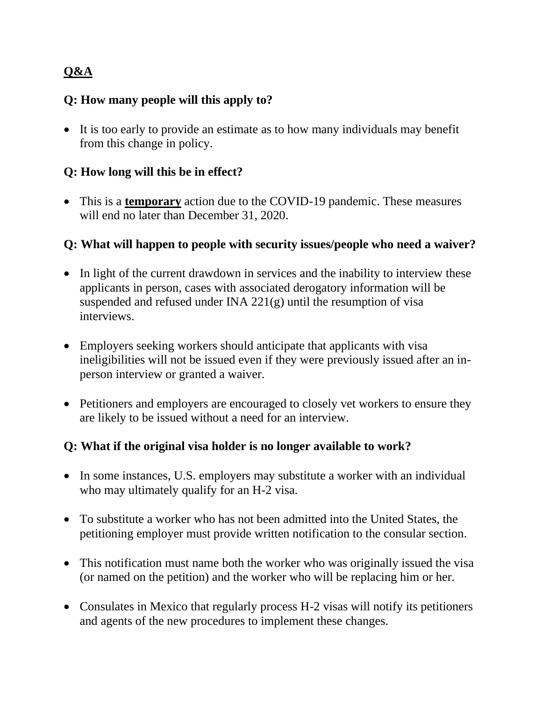# **Q&A**

### **Q: How many people will this apply to?**

• It is too early to provide an estimate as to how many individuals may benefit from this change in policy.

## **Q: How long will this be in effect?**

• This is a **temporary** action due to the COVID-19 pandemic. These measures will end no later than December 31, 2020.

### **Q: What will happen to people with security issues/people who need a waiver?**

- In light of the current drawdown in services and the inability to interview these applicants in person, cases with associated derogatory information will be suspended and refused under INA 221(g) until the resumption of visa interviews.
- Employers seeking workers should anticipate that applicants with visa ineligibilities will not be issued even if they were previously issued after an inperson interview or granted a waiver.
- Petitioners and employers are encouraged to closely vet workers to ensure they are likely to be issued without a need for an interview.

#### **Q: What if the original visa holder is no longer available to work?**

- In some instances, U.S. employers may substitute a worker with an individual who may ultimately qualify for an H-2 visa.
- To substitute a worker who has not been admitted into the United States, the petitioning employer must provide written notification to the consular section.
- This notification must name both the worker who was originally issued the visa (or named on the petition) and the worker who will be replacing him or her.
- Consulates in Mexico that regularly process H-2 visas will notify its petitioners and agents of the new procedures to implement these changes.